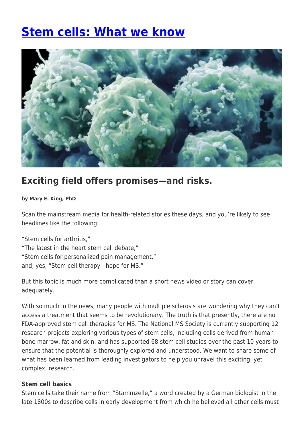# **[Stem cells: What we know](https://momentummagazineonline.com/stem-cells-know/)**



# **Exciting field offers promises—and risks.**

### **by Mary E. King, PhD**

Scan the mainstream media for health-related stories these days, and you're likely to see headlines like the following:

"Stem cells for arthritis," "The latest in the heart stem cell debate," "Stem cells for personalized pain management," and, yes, "Stem cell therapy—hope for MS."

But this topic is much more complicated than a short news video or story can cover adequately.

With so much in the news, many people with multiple sclerosis are wondering why they can't access a treatment that seems to be revolutionary. The truth is that presently, there are no FDA-approved stem cell therapies for MS. The National MS Society is currently supporting 12 research projects exploring various types of stem cells, including cells derived from human bone marrow, fat and skin, and has supported 68 stem cell studies over the past 10 years to ensure that the potential is thoroughly explored and understood. We want to share some of what has been learned from leading investigators to help you unravel this exciting, yet complex, research.

### **Stem cell basics**

Stem cells take their name from "Stammzelle," a word created by a German biologist in the late 1800s to describe cells in early development from which he believed all other cells must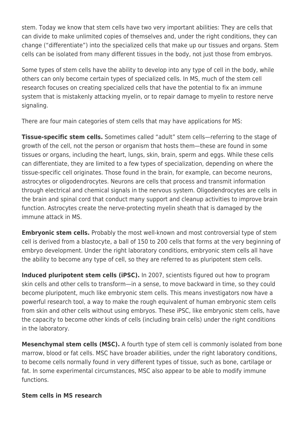stem. Today we know that stem cells have two very important abilities: They are cells that can divide to make unlimited copies of themselves and, under the right conditions, they can change ("differentiate") into the specialized cells that make up our tissues and organs. Stem cells can be isolated from many different tissues in the body, not just those from embryos.

Some types of stem cells have the ability to develop into any type of cell in the body, while others can only become certain types of specialized cells. In MS, much of the stem cell research focuses on creating specialized cells that have the potential to fix an immune system that is mistakenly attacking myelin, or to repair damage to myelin to restore nerve signaling.

There are four main categories of stem cells that may have applications for MS:

**Tissue-specific stem cells.** Sometimes called "adult" stem cells—referring to the stage of growth of the cell, not the person or organism that hosts them—these are found in some tissues or organs, including the heart, lungs, skin, brain, sperm and eggs. While these cells can differentiate, they are limited to a few types of specialization, depending on where the tissue-specific cell originates. Those found in the brain, for example, can become neurons, astrocytes or oligodendrocytes. Neurons are cells that process and transmit information through electrical and chemical signals in the nervous system. Oligodendrocytes are cells in the brain and spinal cord that conduct many support and cleanup activities to improve brain function. Astrocytes create the nerve-protecting myelin sheath that is damaged by the immune attack in MS.

**Embryonic stem cells.** Probably the most well-known and most controversial type of stem cell is derived from a blastocyte, a ball of 150 to 200 cells that forms at the very beginning of embryo development. Under the right laboratory conditions, embryonic stem cells all have the ability to become any type of cell, so they are referred to as pluripotent stem cells.

**Induced pluripotent stem cells (iPSC).** In 2007, scientists figured out how to program skin cells and other cells to transform—in a sense, to move backward in time, so they could become pluripotent, much like embryonic stem cells. This means investigators now have a powerful research tool, a way to make the rough equivalent of human embryonic stem cells from skin and other cells without using embryos. These iPSC, like embryonic stem cells, have the capacity to become other kinds of cells (including brain cells) under the right conditions in the laboratory.

**Mesenchymal stem cells (MSC).** A fourth type of stem cell is commonly isolated from bone marrow, blood or fat cells. MSC have broader abilities, under the right laboratory conditions, to become cells normally found in very different types of tissue, such as bone, cartilage or fat. In some experimental circumstances, MSC also appear to be able to modify immune functions.

## **Stem cells in MS research**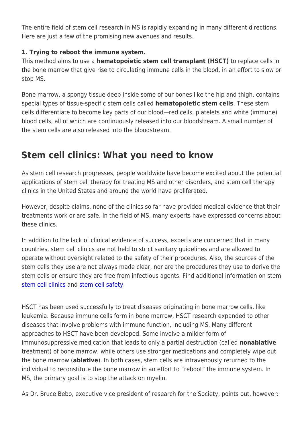The entire field of stem cell research in MS is rapidly expanding in many different directions. Here are just a few of the promising new avenues and results.

# **1. Trying to reboot the immune system.**

This method aims to use a **hematopoietic stem cell transplant (HSCT)** to replace cells in the bone marrow that give rise to circulating immune cells in the blood, in an effort to slow or stop MS.

Bone marrow, a spongy tissue deep inside some of our bones like the hip and thigh, contains special types of tissue-specific stem cells called **hematopoietic stem cells**. These stem cells differentiate to become key parts of our blood—red cells, platelets and white (immune) blood cells, all of which are continuously released into our bloodstream. A small number of the stem cells are also released into the bloodstream.

# **Stem cell clinics: What you need to know**

As stem cell research progresses, people worldwide have become excited about the potential applications of stem cell therapy for treating MS and other disorders, and stem cell therapy clinics in the United States and around the world have proliferated.

However, despite claims, none of the clinics so far have provided medical evidence that their treatments work or are safe. In the field of MS, many experts have expressed concerns about these clinics.

In addition to the lack of clinical evidence of success, experts are concerned that in many countries, stem cell clinics are not held to strict sanitary guidelines and are allowed to operate without oversight related to the safety of their procedures. Also, the sources of the stem cells they use are not always made clear, nor are the procedures they use to derive the stem cells or ensure they are free from infectious agents. Find additional information on stem [stem cell clinics](http://www.nationalmssociety.org/Research/Research-News-Progress/Stem-Cells-in-MS/Stem-Cell-Clinics-Questions-to-Ask) and [stem cell safety](http://www.nationalmssociety.org/About-the-Society/News/Study-Shows-Expansion-of-Stem-Cell-Clinics-in-the).

HSCT has been used successfully to treat diseases originating in bone marrow cells, like leukemia. Because immune cells form in bone marrow, HSCT research expanded to other diseases that involve problems with immune function, including MS. Many different approaches to HSCT have been developed. Some involve a milder form of immunosuppressive medication that leads to only a partial destruction (called **nonablative** treatment) of bone marrow, while others use stronger medications and completely wipe out the bone marrow (**ablative**). In both cases, stem cells are intravenously returned to the individual to reconstitute the bone marrow in an effort to "reboot" the immune system. In MS, the primary goal is to stop the attack on myelin.

As Dr. Bruce Bebo, executive vice president of research for the Society, points out, however: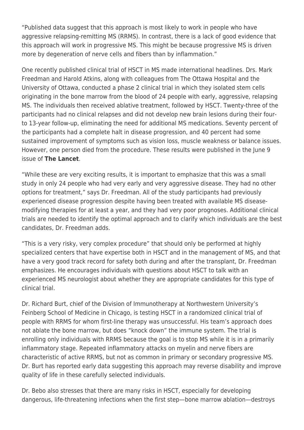"Published data suggest that this approach is most likely to work in people who have aggressive relapsing-remitting MS (RRMS). In contrast, there is a lack of good evidence that this approach will work in progressive MS. This might be because progressive MS is driven more by degeneration of nerve cells and fibers than by inflammation."

One recently published clinical trial of HSCT in MS made international headlines. Drs. Mark Freedman and Harold Atkins, along with colleagues from The Ottawa Hospital and the University of Ottawa, conducted a phase 2 clinical trial in which they isolated stem cells originating in the bone marrow from the blood of 24 people with early, aggressive, relapsing MS. The individuals then received ablative treatment, followed by HSCT. Twenty-three of the participants had no clinical relapses and did not develop new brain lesions during their fourto 13-year follow-up, eliminating the need for additional MS medications. Seventy percent of the participants had a complete halt in disease progression, and 40 percent had some sustained improvement of symptoms such as vision loss, muscle weakness or balance issues. However, one person died from the procedure. These results were published in the lune 9 issue of **The Lancet**.

"While these are very exciting results, it is important to emphasize that this was a small study in only 24 people who had very early and very aggressive disease. They had no other options for treatment," says Dr. Freedman. All of the study participants had previously experienced disease progression despite having been treated with available MS diseasemodifying therapies for at least a year, and they had very poor prognoses. Additional clinical trials are needed to identify the optimal approach and to clarify which individuals are the best candidates, Dr. Freedman adds.

"This is a very risky, very complex procedure" that should only be performed at highly specialized centers that have expertise both in HSCT and in the management of MS, and that have a very good track record for safety both during and after the transplant, Dr. Freedman emphasizes. He encourages individuals with questions about HSCT to talk with an experienced MS neurologist about whether they are appropriate candidates for this type of clinical trial.

Dr. Richard Burt, chief of the Division of Immunotherapy at Northwestern University's Feinberg School of Medicine in Chicago, is testing HSCT in a randomized clinical trial of people with RRMS for whom first-line therapy was unsuccessful. His team's approach does not ablate the bone marrow, but does "knock down" the immune system. The trial is enrolling only individuals with RRMS because the goal is to stop MS while it is in a primarily inflammatory stage. Repeated inflammatory attacks on myelin and nerve fibers are characteristic of active RRMS, but not as common in primary or secondary progressive MS. Dr. Burt has reported early data suggesting this approach may reverse disability and improve quality of life in these carefully selected individuals.

Dr. Bebo also stresses that there are many risks in HSCT, especially for developing dangerous, life-threatening infections when the first step—bone marrow ablation—destroys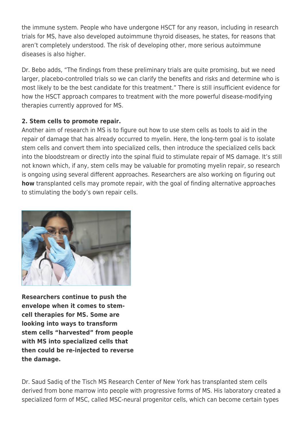the immune system. People who have undergone HSCT for any reason, including in research trials for MS, have also developed autoimmune thyroid diseases, he states, for reasons that aren't completely understood. The risk of developing other, more serious autoimmune diseases is also higher.

Dr. Bebo adds, "The findings from these preliminary trials are quite promising, but we need larger, placebo-controlled trials so we can clarify the benefits and risks and determine who is most likely to be the best candidate for this treatment." There is still insufficient evidence for how the HSCT approach compares to treatment with the more powerful disease-modifying therapies currently approved for MS.

# **2. Stem cells to promote repair.**

Another aim of research in MS is to figure out how to use stem cells as tools to aid in the repair of damage that has already occurred to myelin. Here, the long-term goal is to isolate stem cells and convert them into specialized cells, then introduce the specialized cells back into the bloodstream or directly into the spinal fluid to stimulate repair of MS damage. It's still not known which, if any, stem cells may be valuable for promoting myelin repair, so research is ongoing using several different approaches. Researchers are also working on figuring out **how** transplanted cells may promote repair, with the goal of finding alternative approaches to stimulating the body's own repair cells.



**Researchers continue to push the envelope when it comes to stemcell therapies for MS. Some are looking into ways to transform stem cells "harvested" from people with MS into specialized cells that then could be re-injected to reverse the damage.**

Dr. Saud Sadiq of the Tisch MS Research Center of New York has transplanted stem cells derived from bone marrow into people with progressive forms of MS. His laboratory created a specialized form of MSC, called MSC-neural progenitor cells, which can become certain types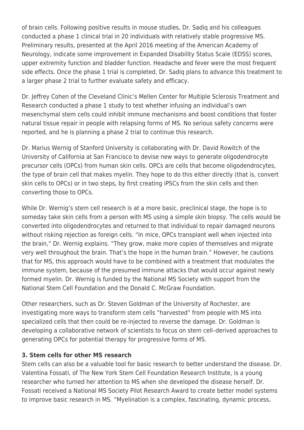of brain cells. Following positive results in mouse studies, Dr. Sadiq and his colleagues conducted a phase 1 clinical trial in 20 individuals with relatively stable progressive MS. Preliminary results, presented at the April 2016 meeting of the American Academy of Neurology, indicate some improvement in Expanded Disability Status Scale (EDSS) scores, upper extremity function and bladder function. Headache and fever were the most frequent side effects. Once the phase 1 trial is completed, Dr. Sadiq plans to advance this treatment to a larger phase 2 trial to further evaluate safety and efficacy.

Dr. Jeffrey Cohen of the Cleveland Clinic's Mellen Center for Multiple Sclerosis Treatment and Research conducted a phase 1 study to test whether infusing an individual's own mesenchymal stem cells could inhibit immune mechanisms and boost conditions that foster natural tissue repair in people with relapsing forms of MS. No serious safety concerns were reported, and he is planning a phase 2 trial to continue this research.

Dr. Marius Wernig of Stanford University is collaborating with Dr. David Rowitch of the University of California at San Francisco to devise new ways to generate oligodendrocyte precursor cells (OPCs) from human skin cells. OPCs are cells that become oligodendrocytes, the type of brain cell that makes myelin. They hope to do this either directly (that is, convert skin cells to OPCs) or in two steps, by first creating iPSCs from the skin cells and then converting those to OPCs.

While Dr. Wernig's stem cell research is at a more basic, preclinical stage, the hope is to someday take skin cells from a person with MS using a simple skin biopsy. The cells would be converted into oligodendrocytes and returned to that individual to repair damaged neurons without risking rejection as foreign cells. "In mice, OPCs transplant well when injected into the brain," Dr. Wernig explains. "They grow, make more copies of themselves and migrate very well throughout the brain. That's the hope in the human brain." However, he cautions that for MS, this approach would have to be combined with a treatment that modulates the immune system, because of the presumed immune attacks that would occur against newly formed myelin. Dr. Wernig is funded by the National MS Society with support from the National Stem Cell Foundation and the Donald C. McGraw Foundation.

Other researchers, such as Dr. Steven Goldman of the University of Rochester, are investigating more ways to transform stem cells "harvested" from people with MS into specialized cells that then could be re-injected to reverse the damage. Dr. Goldman is developing a collaborative network of scientists to focus on stem cell–derived approaches to generating OPCs for potential therapy for progressive forms of MS.

## **3. Stem cells for other MS research**

Stem cells can also be a valuable tool for basic research to better understand the disease. Dr. Valentina Fossati, of The New York Stem Cell Foundation Research Institute, is a young researcher who turned her attention to MS when she developed the disease herself. Dr. Fossati received a National MS Society Pilot Research Award to create better model systems to improve basic research in MS. "Myelination is a complex, fascinating, dynamic process,